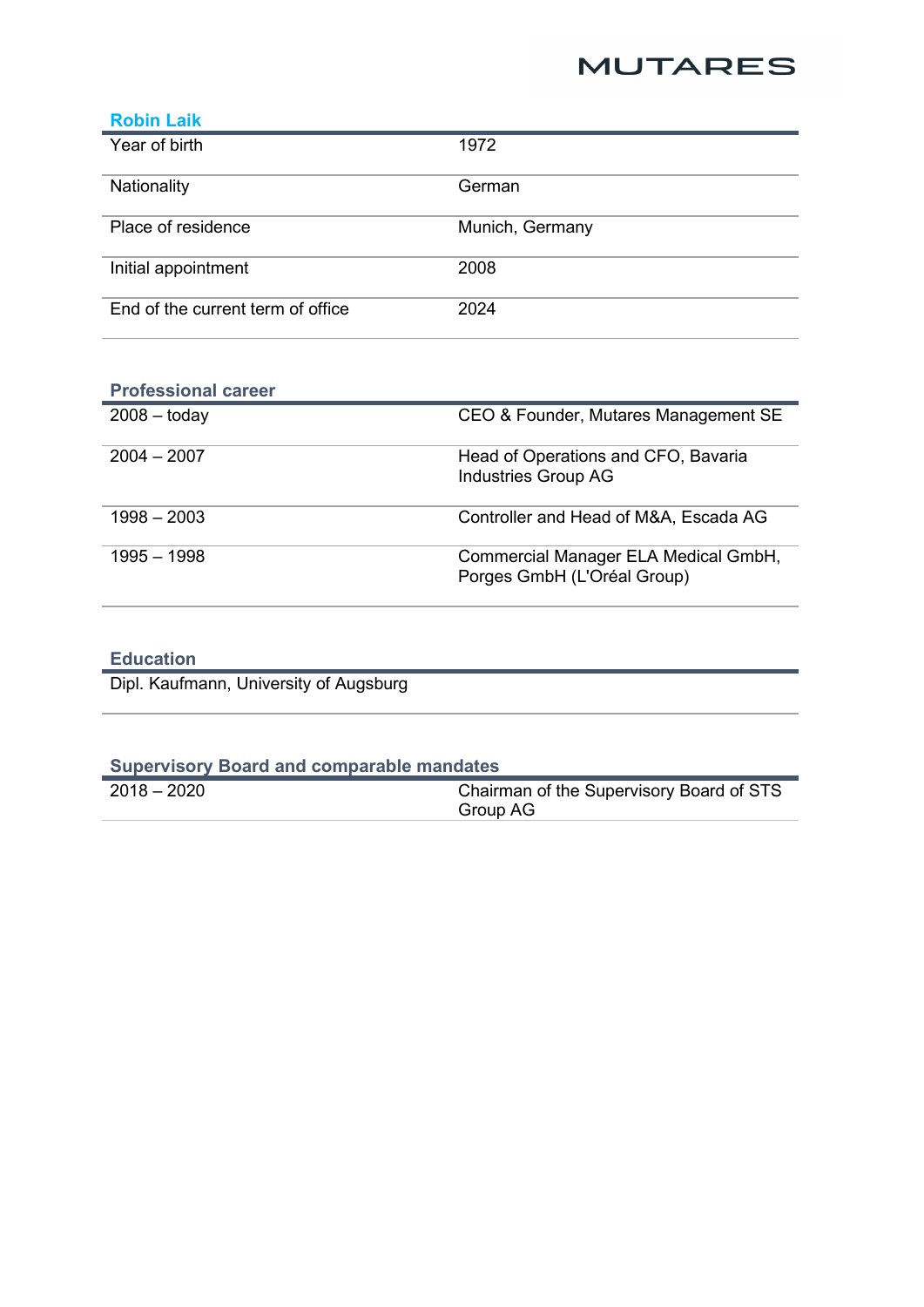## **MUTARES**

| <b>Robin Laik</b>                 |                 |
|-----------------------------------|-----------------|
| Year of birth                     | 1972            |
| Nationality                       | German          |
| Place of residence                | Munich, Germany |
| Initial appointment               | 2008            |
| End of the current term of office | 2024            |

| <b>Professional career</b> |                                                                     |
|----------------------------|---------------------------------------------------------------------|
| $2008 -$ today             | CEO & Founder, Mutares Management SE                                |
| $2004 - 2007$              | Head of Operations and CFO, Bavaria<br><b>Industries Group AG</b>   |
| $1998 - 2003$              | Controller and Head of M&A, Escada AG                               |
| $1995 - 1998$              | Commercial Manager ELA Medical GmbH,<br>Porges GmbH (L'Oréal Group) |

## **Education**

Dipl. Kaufmann, University of Augsburg

| <b>Supervisory Board and comparable mandates</b> |                                                      |
|--------------------------------------------------|------------------------------------------------------|
| $2018 - 2020$                                    | Chairman of the Supervisory Board of STS<br>Group AG |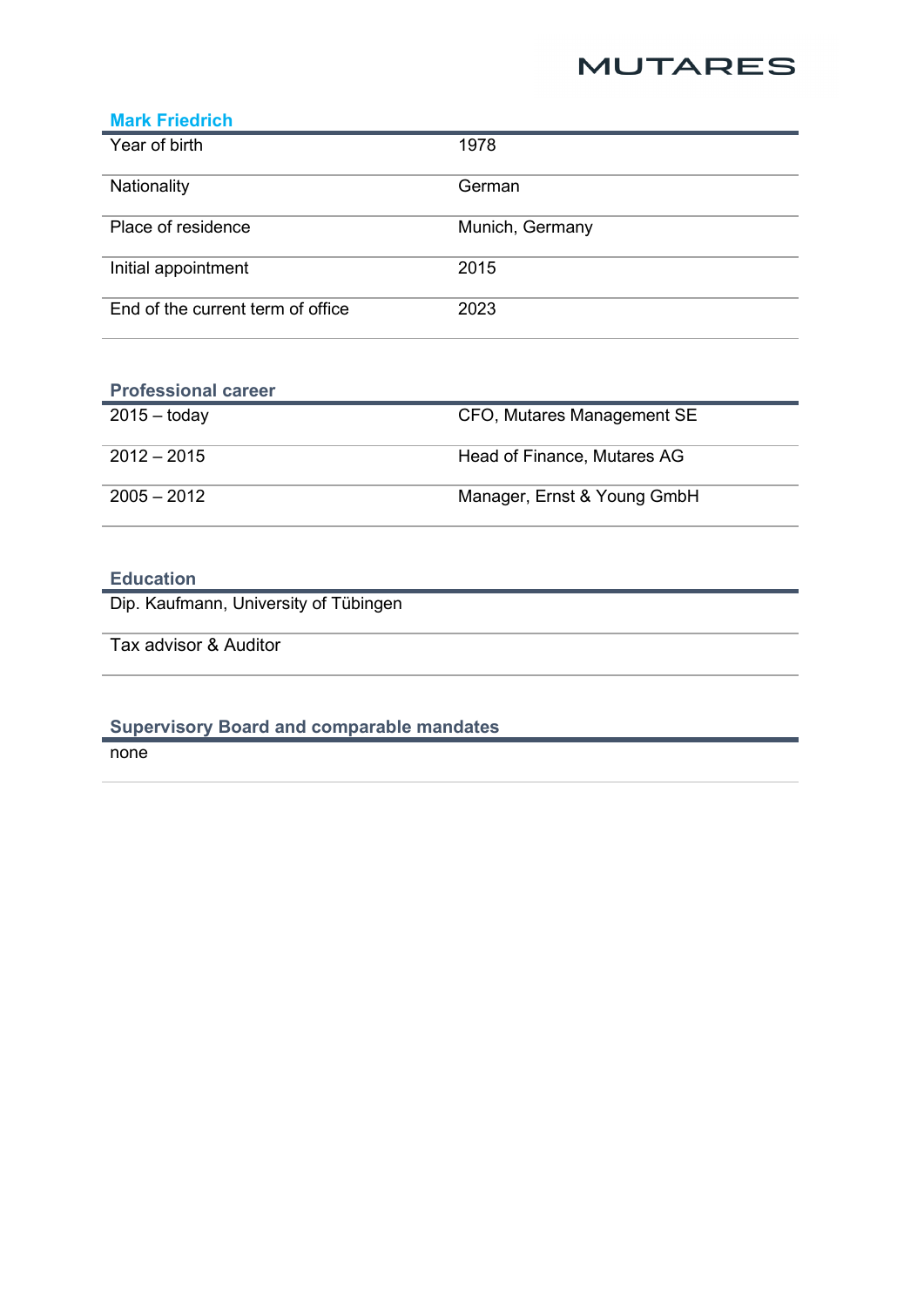## **MUTARES**

| <b>Mark Friedrich</b>             |                 |
|-----------------------------------|-----------------|
| Year of birth                     | 1978            |
| Nationality                       | German          |
| Place of residence                | Munich, Germany |
| Initial appointment               | 2015            |
| End of the current term of office | 2023            |

| <b>Professional career</b> |                             |
|----------------------------|-----------------------------|
| $2015 -$ today             | CFO, Mutares Management SE  |
| $2012 - 2015$              | Head of Finance, Mutares AG |
| $2005 - 2012$              | Manager, Ernst & Young GmbH |

# **Education**

Dip. Kaufmann, University of Tübingen

Tax advisor & Auditor

### **Supervisory Board and comparable mandates**

none